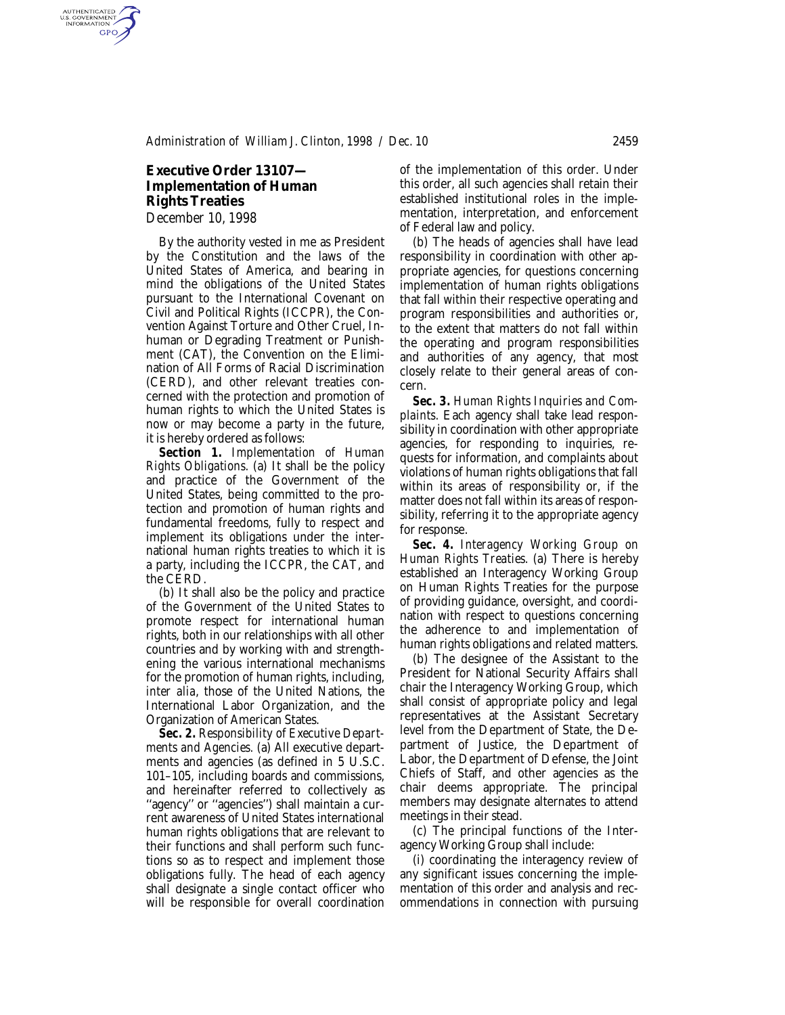## **Executive Order 13107— Implementation of Human Rights Treaties** *December 10, 1998*

AUTHENTICATED<br>U.S. GOVERNMENT<br>INFORMATION GPO

> By the authority vested in me as President by the Constitution and the laws of the United States of America, and bearing in mind the obligations of the United States pursuant to the International Covenant on Civil and Political Rights (ICCPR), the Convention Against Torture and Other Cruel, Inhuman or Degrading Treatment or Punishment (CAT), the Convention on the Elimination of All Forms of Racial Discrimination (CERD), and other relevant treaties concerned with the protection and promotion of human rights to which the United States is now or may become a party in the future, it is hereby ordered as follows:

> *Section 1. Implementation of Human Rights Obligations.* (a) It shall be the policy and practice of the Government of the United States, being committed to the protection and promotion of human rights and fundamental freedoms, fully to respect and implement its obligations under the international human rights treaties to which it is a party, including the ICCPR, the CAT, and the CERD.

> (b) It shall also be the policy and practice of the Government of the United States to promote respect for international human rights, both in our relationships with all other countries and by working with and strengthening the various international mechanisms for the promotion of human rights, including, *inter alia*, those of the United Nations, the International Labor Organization, and the Organization of American States.

> *Sec. 2. Responsibility of Executive Departments and Agencies.* (a) All executive departments and agencies (as defined in 5 U.S.C. 101–105, including boards and commissions, and hereinafter referred to collectively as ''agency'' or ''agencies'') shall maintain a current awareness of United States international human rights obligations that are relevant to their functions and shall perform such functions so as to respect and implement those obligations fully. The head of each agency shall designate a single contact officer who will be responsible for overall coordination

of the implementation of this order. Under this order, all such agencies shall retain their established institutional roles in the implementation, interpretation, and enforcement of Federal law and policy.

(b) The heads of agencies shall have lead responsibility in coordination with other appropriate agencies, for questions concerning implementation of human rights obligations that fall within their respective operating and program responsibilities and authorities or, to the extent that matters do not fall within the operating and program responsibilities and authorities of any agency, that most closely relate to their general areas of concern.

*Sec. 3. Human Rights Inquiries and Complaints.* Each agency shall take lead responsibility in coordination with other appropriate agencies, for responding to inquiries, requests for information, and complaints about violations of human rights obligations that fall within its areas of responsibility or, if the matter does not fall within its areas of responsibility, referring it to the appropriate agency for response.

*Sec. 4. Interagency Working Group on Human Rights Treaties.* (a) There is hereby established an Interagency Working Group on Human Rights Treaties for the purpose of providing guidance, oversight, and coordination with respect to questions concerning the adherence to and implementation of human rights obligations and related matters.

(b) The designee of the Assistant to the President for National Security Affairs shall chair the Interagency Working Group, which shall consist of appropriate policy and legal representatives at the Assistant Secretary level from the Department of State, the Department of Justice, the Department of Labor, the Department of Defense, the Joint Chiefs of Staff, and other agencies as the chair deems appropriate. The principal members may designate alternates to attend meetings in their stead.

(c) The principal functions of the Interagency Working Group shall include:

(i) coordinating the interagency review of any significant issues concerning the implementation of this order and analysis and recommendations in connection with pursuing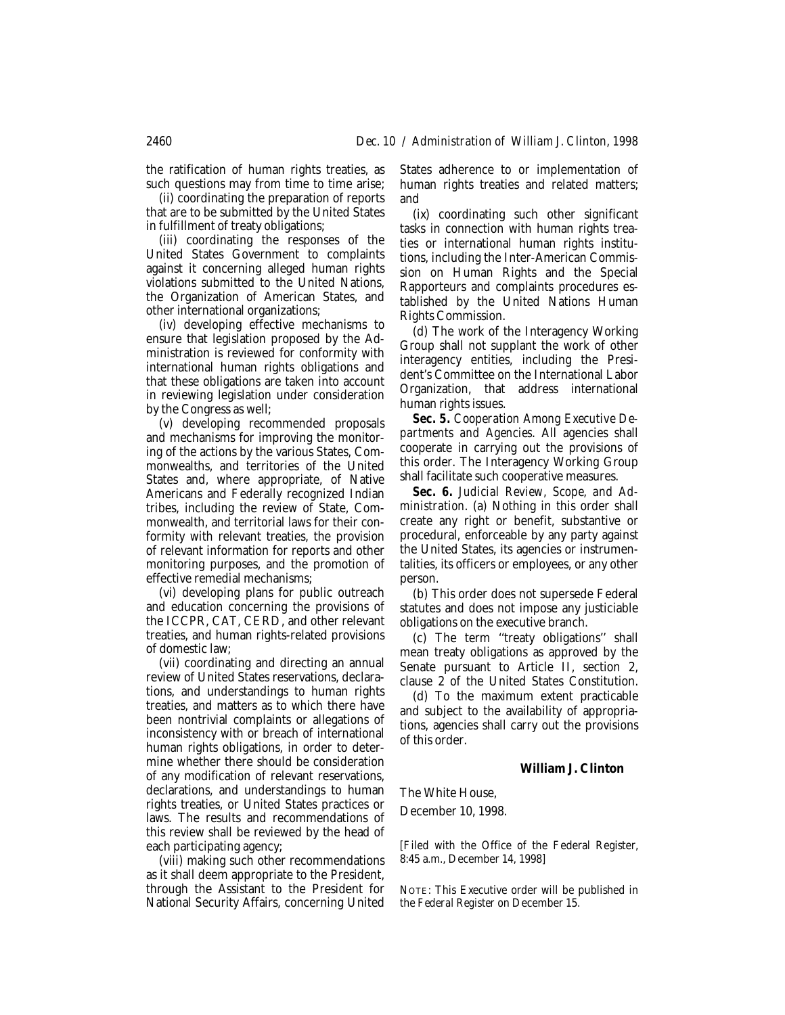the ratification of human rights treaties, as such questions may from time to time arise;

(ii) coordinating the preparation of reports that are to be submitted by the United States in fulfillment of treaty obligations;

(iii) coordinating the responses of the United States Government to complaints against it concerning alleged human rights violations submitted to the United Nations, the Organization of American States, and other international organizations;

(iv) developing effective mechanisms to ensure that legislation proposed by the Administration is reviewed for conformity with international human rights obligations and that these obligations are taken into account in reviewing legislation under consideration by the Congress as well;

(v) developing recommended proposals and mechanisms for improving the monitoring of the actions by the various States, Commonwealths, and territories of the United States and, where appropriate, of Native Americans and Federally recognized Indian tribes, including the review of State, Commonwealth, and territorial laws for their conformity with relevant treaties, the provision of relevant information for reports and other monitoring purposes, and the promotion of effective remedial mechanisms;

(vi) developing plans for public outreach and education concerning the provisions of the ICCPR, CAT, CERD, and other relevant treaties, and human rights-related provisions of domestic law;

(vii) coordinating and directing an annual review of United States reservations, declarations, and understandings to human rights treaties, and matters as to which there have been nontrivial complaints or allegations of inconsistency with or breach of international human rights obligations, in order to determine whether there should be consideration of any modification of relevant reservations, declarations, and understandings to human rights treaties, or United States practices or laws. The results and recommendations of this review shall be reviewed by the head of each participating agency;

(viii) making such other recommendations as it shall deem appropriate to the President, through the Assistant to the President for National Security Affairs, concerning United

States adherence to or implementation of human rights treaties and related matters; and

(ix) coordinating such other significant tasks in connection with human rights treaties or international human rights institutions, including the Inter-American Commission on Human Rights and the Special Rapporteurs and complaints procedures established by the United Nations Human Rights Commission.

(d) The work of the Interagency Working Group shall not supplant the work of other interagency entities, including the President's Committee on the International Labor Organization, that address international human rights issues.

*Sec. 5. Cooperation Among Executive Departments and Agencies*. All agencies shall cooperate in carrying out the provisions of this order. The Interagency Working Group shall facilitate such cooperative measures.

*Sec. 6. Judicial Review, Scope, and Administration*. (a) Nothing in this order shall create any right or benefit, substantive or procedural, enforceable by any party against the United States, its agencies or instrumentalities, its officers or employees, or any other person.

(b) This order does not supersede Federal statutes and does not impose any justiciable obligations on the executive branch.

(c) The term ''treaty obligations'' shall mean treaty obligations as approved by the Senate pursuant to Article II, section 2, clause 2 of the United States Constitution.

(d) To the maximum extent practicable and subject to the availability of appropriations, agencies shall carry out the provisions of this order.

## **William J. Clinton**

The White House,

December 10, 1998.

[Filed with the Office of the Federal Register, 8:45 a.m., December 14, 1998]

NOTE: This Executive order will be published in the *Federal Register* on December 15.